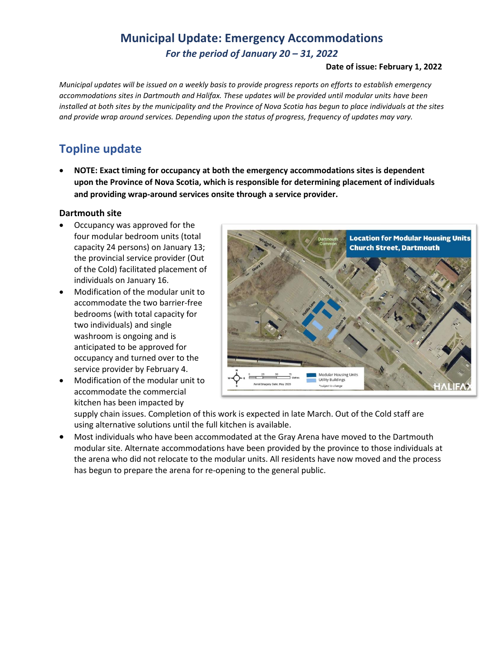## **Municipal Update: Emergency Accommodations** *For the period of January 20 – 31, 2022*

#### **Date of issue: February 1, 2022**

*Municipal updates will be issued on a weekly basis to provide progress reports on efforts to establish emergency accommodations sites in Dartmouth and Halifax. These updates will be provided until modular units have been installed at both sites by the municipality and the Province of Nova Scotia has begun to place individuals at the sites and provide wrap around services. Depending upon the status of progress, frequency of updates may vary.* 

# **Topline update**

• **NOTE: Exact timing for occupancy at both the emergency accommodations sites is dependent upon the Province of Nova Scotia, which is responsible for determining placement of individuals and providing wrap-around services onsite through a service provider.**

#### **Dartmouth site**

- Occupancy was approved for the four modular bedroom units (total capacity 24 persons) on January 13; the provincial service provider (Out of the Cold) facilitated placement of individuals on January 16.
- Modification of the modular unit to accommodate the two barrier-free bedrooms (with total capacity for two individuals) and single washroom is ongoing and is anticipated to be approved for occupancy and turned over to the service provider by February 4.
- Modification of the modular unit to accommodate the commercial kitchen has been impacted by



supply chain issues. Completion of this work is expected in late March. Out of the Cold staff are using alternative solutions until the full kitchen is available.

• Most individuals who have been accommodated at the Gray Arena have moved to the Dartmouth modular site. Alternate accommodations have been provided by the province to those individuals at the arena who did not relocate to the modular units. All residents have now moved and the process has begun to prepare the arena for re-opening to the general public.